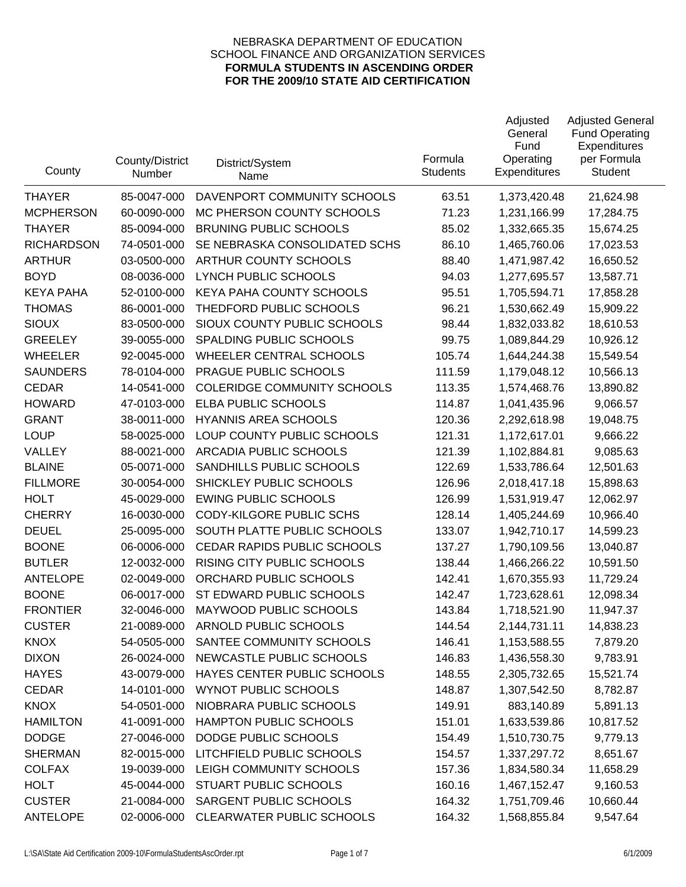| County            | County/District<br>Number | District/System<br>Name            | Formula<br><b>Students</b> | Adjusted<br>General<br>Fund<br>Operating<br>Expenditures | <b>Adjusted General</b><br><b>Fund Operating</b><br>Expenditures<br>per Formula<br>Student |
|-------------------|---------------------------|------------------------------------|----------------------------|----------------------------------------------------------|--------------------------------------------------------------------------------------------|
| <b>THAYER</b>     | 85-0047-000               | DAVENPORT COMMUNITY SCHOOLS        | 63.51                      | 1,373,420.48                                             | 21,624.98                                                                                  |
| <b>MCPHERSON</b>  | 60-0090-000               | MC PHERSON COUNTY SCHOOLS          | 71.23                      | 1,231,166.99                                             | 17,284.75                                                                                  |
| <b>THAYER</b>     | 85-0094-000               | <b>BRUNING PUBLIC SCHOOLS</b>      | 85.02                      | 1,332,665.35                                             | 15,674.25                                                                                  |
| <b>RICHARDSON</b> | 74-0501-000               | SE NEBRASKA CONSOLIDATED SCHS      | 86.10                      | 1,465,760.06                                             | 17,023.53                                                                                  |
| <b>ARTHUR</b>     | 03-0500-000               | <b>ARTHUR COUNTY SCHOOLS</b>       | 88.40                      | 1,471,987.42                                             | 16,650.52                                                                                  |
| <b>BOYD</b>       | 08-0036-000               | <b>LYNCH PUBLIC SCHOOLS</b>        | 94.03                      | 1,277,695.57                                             | 13,587.71                                                                                  |
| <b>KEYA PAHA</b>  | 52-0100-000               | KEYA PAHA COUNTY SCHOOLS           | 95.51                      | 1,705,594.71                                             | 17,858.28                                                                                  |
| <b>THOMAS</b>     | 86-0001-000               | THEDFORD PUBLIC SCHOOLS            | 96.21                      | 1,530,662.49                                             | 15,909.22                                                                                  |
| <b>SIOUX</b>      | 83-0500-000               | SIOUX COUNTY PUBLIC SCHOOLS        | 98.44                      | 1,832,033.82                                             | 18,610.53                                                                                  |
| <b>GREELEY</b>    | 39-0055-000               | SPALDING PUBLIC SCHOOLS            | 99.75                      | 1,089,844.29                                             | 10,926.12                                                                                  |
| <b>WHEELER</b>    | 92-0045-000               | WHEELER CENTRAL SCHOOLS            | 105.74                     | 1,644,244.38                                             | 15,549.54                                                                                  |
| <b>SAUNDERS</b>   | 78-0104-000               | PRAGUE PUBLIC SCHOOLS              | 111.59                     | 1,179,048.12                                             | 10,566.13                                                                                  |
| <b>CEDAR</b>      | 14-0541-000               | <b>COLERIDGE COMMUNITY SCHOOLS</b> | 113.35                     | 1,574,468.76                                             | 13,890.82                                                                                  |
| <b>HOWARD</b>     | 47-0103-000               | ELBA PUBLIC SCHOOLS                | 114.87                     | 1,041,435.96                                             | 9,066.57                                                                                   |
| <b>GRANT</b>      | 38-0011-000               | <b>HYANNIS AREA SCHOOLS</b>        | 120.36                     | 2,292,618.98                                             | 19,048.75                                                                                  |
| <b>LOUP</b>       | 58-0025-000               | LOUP COUNTY PUBLIC SCHOOLS         | 121.31                     | 1,172,617.01                                             | 9,666.22                                                                                   |
| VALLEY            | 88-0021-000               | ARCADIA PUBLIC SCHOOLS             | 121.39                     | 1,102,884.81                                             | 9,085.63                                                                                   |
| <b>BLAINE</b>     | 05-0071-000               | SANDHILLS PUBLIC SCHOOLS           | 122.69                     | 1,533,786.64                                             | 12,501.63                                                                                  |
| <b>FILLMORE</b>   | 30-0054-000               | SHICKLEY PUBLIC SCHOOLS            | 126.96                     | 2,018,417.18                                             | 15,898.63                                                                                  |
| <b>HOLT</b>       | 45-0029-000               | <b>EWING PUBLIC SCHOOLS</b>        | 126.99                     | 1,531,919.47                                             | 12,062.97                                                                                  |
| <b>CHERRY</b>     | 16-0030-000               | CODY-KILGORE PUBLIC SCHS           | 128.14                     | 1,405,244.69                                             | 10,966.40                                                                                  |
| <b>DEUEL</b>      | 25-0095-000               | SOUTH PLATTE PUBLIC SCHOOLS        | 133.07                     | 1,942,710.17                                             | 14,599.23                                                                                  |
| <b>BOONE</b>      | 06-0006-000               | CEDAR RAPIDS PUBLIC SCHOOLS        | 137.27                     | 1,790,109.56                                             | 13,040.87                                                                                  |
| <b>BUTLER</b>     | 12-0032-000               | RISING CITY PUBLIC SCHOOLS         | 138.44                     | 1,466,266.22                                             | 10,591.50                                                                                  |
| <b>ANTELOPE</b>   | 02-0049-000               | ORCHARD PUBLIC SCHOOLS             | 142.41                     | 1,670,355.93                                             | 11,729.24                                                                                  |
| <b>BOONE</b>      | 06-0017-000               | ST EDWARD PUBLIC SCHOOLS           | 142.47                     | 1,723,628.61                                             | 12,098.34                                                                                  |
| <b>FRONTIER</b>   | 32-0046-000               | MAYWOOD PUBLIC SCHOOLS             | 143.84                     | 1,718,521.90                                             | 11,947.37                                                                                  |
| <b>CUSTER</b>     | 21-0089-000               | ARNOLD PUBLIC SCHOOLS              | 144.54                     | 2,144,731.11                                             | 14,838.23                                                                                  |
| <b>KNOX</b>       | 54-0505-000               | SANTEE COMMUNITY SCHOOLS           | 146.41                     | 1,153,588.55                                             | 7,879.20                                                                                   |
| <b>DIXON</b>      | 26-0024-000               | NEWCASTLE PUBLIC SCHOOLS           | 146.83                     | 1,436,558.30                                             | 9,783.91                                                                                   |
| <b>HAYES</b>      | 43-0079-000               | HAYES CENTER PUBLIC SCHOOLS        | 148.55                     | 2,305,732.65                                             | 15,521.74                                                                                  |
| <b>CEDAR</b>      | 14-0101-000               | <b>WYNOT PUBLIC SCHOOLS</b>        | 148.87                     | 1,307,542.50                                             | 8,782.87                                                                                   |
| <b>KNOX</b>       | 54-0501-000               | NIOBRARA PUBLIC SCHOOLS            | 149.91                     | 883,140.89                                               | 5,891.13                                                                                   |
| <b>HAMILTON</b>   | 41-0091-000               | HAMPTON PUBLIC SCHOOLS             | 151.01                     | 1,633,539.86                                             | 10,817.52                                                                                  |
| <b>DODGE</b>      | 27-0046-000               | DODGE PUBLIC SCHOOLS               | 154.49                     | 1,510,730.75                                             | 9,779.13                                                                                   |
| <b>SHERMAN</b>    | 82-0015-000               | LITCHFIELD PUBLIC SCHOOLS          | 154.57                     | 1,337,297.72                                             | 8,651.67                                                                                   |
| <b>COLFAX</b>     | 19-0039-000               | LEIGH COMMUNITY SCHOOLS            | 157.36                     | 1,834,580.34                                             | 11,658.29                                                                                  |
| <b>HOLT</b>       | 45-0044-000               | STUART PUBLIC SCHOOLS              | 160.16                     | 1,467,152.47                                             | 9,160.53                                                                                   |
| <b>CUSTER</b>     | 21-0084-000               | SARGENT PUBLIC SCHOOLS             | 164.32                     | 1,751,709.46                                             | 10,660.44                                                                                  |
| <b>ANTELOPE</b>   | 02-0006-000               | CLEARWATER PUBLIC SCHOOLS          | 164.32                     | 1,568,855.84                                             | 9,547.64                                                                                   |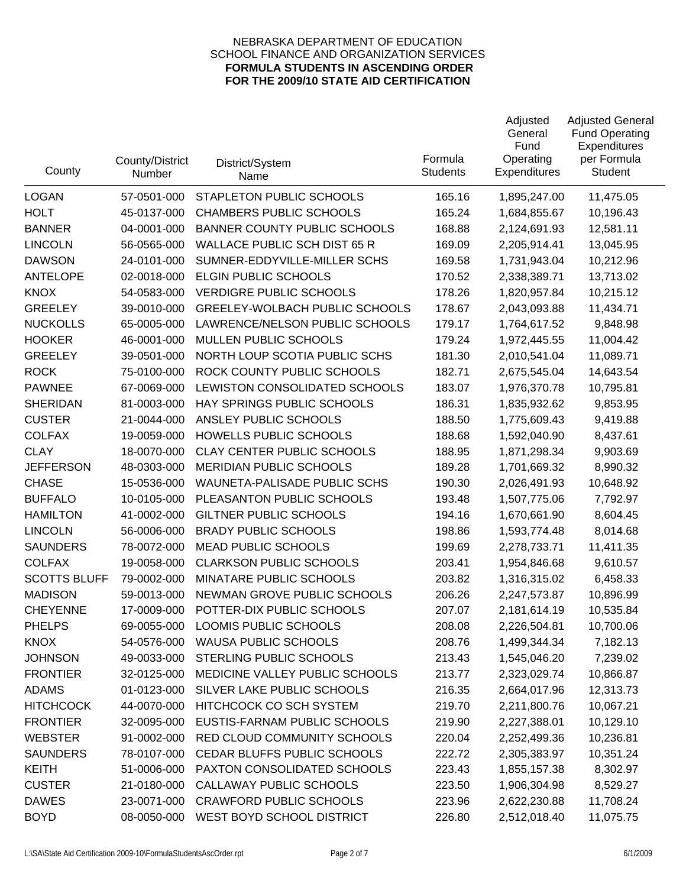| County              | County/District<br>Number | District/System<br>Name               | Formula<br><b>Students</b> | Adjusted<br>General<br>Fund<br>Operating<br>Expenditures | <b>Adjusted General</b><br><b>Fund Operating</b><br>Expenditures<br>per Formula<br>Student |
|---------------------|---------------------------|---------------------------------------|----------------------------|----------------------------------------------------------|--------------------------------------------------------------------------------------------|
| <b>LOGAN</b>        | 57-0501-000               | STAPLETON PUBLIC SCHOOLS              | 165.16                     | 1,895,247.00                                             | 11,475.05                                                                                  |
| <b>HOLT</b>         | 45-0137-000               | <b>CHAMBERS PUBLIC SCHOOLS</b>        | 165.24                     | 1,684,855.67                                             | 10,196.43                                                                                  |
| <b>BANNER</b>       | 04-0001-000               | <b>BANNER COUNTY PUBLIC SCHOOLS</b>   | 168.88                     | 2,124,691.93                                             | 12,581.11                                                                                  |
| <b>LINCOLN</b>      | 56-0565-000               | WALLACE PUBLIC SCH DIST 65 R          | 169.09                     | 2,205,914.41                                             | 13,045.95                                                                                  |
| <b>DAWSON</b>       | 24-0101-000               | SUMNER-EDDYVILLE-MILLER SCHS          | 169.58                     | 1,731,943.04                                             | 10,212.96                                                                                  |
| <b>ANTELOPE</b>     | 02-0018-000               | <b>ELGIN PUBLIC SCHOOLS</b>           | 170.52                     | 2,338,389.71                                             | 13,713.02                                                                                  |
| <b>KNOX</b>         | 54-0583-000               | <b>VERDIGRE PUBLIC SCHOOLS</b>        | 178.26                     | 1,820,957.84                                             | 10,215.12                                                                                  |
| <b>GREELEY</b>      | 39-0010-000               | <b>GREELEY-WOLBACH PUBLIC SCHOOLS</b> | 178.67                     | 2,043,093.88                                             | 11,434.71                                                                                  |
| <b>NUCKOLLS</b>     | 65-0005-000               | LAWRENCE/NELSON PUBLIC SCHOOLS        | 179.17                     | 1,764,617.52                                             | 9,848.98                                                                                   |
| <b>HOOKER</b>       | 46-0001-000               | MULLEN PUBLIC SCHOOLS                 | 179.24                     | 1,972,445.55                                             | 11,004.42                                                                                  |
| <b>GREELEY</b>      | 39-0501-000               | NORTH LOUP SCOTIA PUBLIC SCHS         | 181.30                     | 2,010,541.04                                             | 11,089.71                                                                                  |
| <b>ROCK</b>         | 75-0100-000               | ROCK COUNTY PUBLIC SCHOOLS            | 182.71                     | 2,675,545.04                                             | 14,643.54                                                                                  |
| <b>PAWNEE</b>       | 67-0069-000               | LEWISTON CONSOLIDATED SCHOOLS         | 183.07                     | 1,976,370.78                                             | 10,795.81                                                                                  |
| <b>SHERIDAN</b>     | 81-0003-000               | HAY SPRINGS PUBLIC SCHOOLS            | 186.31                     | 1,835,932.62                                             | 9,853.95                                                                                   |
| <b>CUSTER</b>       | 21-0044-000               | ANSLEY PUBLIC SCHOOLS                 | 188.50                     | 1,775,609.43                                             | 9,419.88                                                                                   |
| <b>COLFAX</b>       | 19-0059-000               | HOWELLS PUBLIC SCHOOLS                | 188.68                     | 1,592,040.90                                             | 8,437.61                                                                                   |
| <b>CLAY</b>         | 18-0070-000               | <b>CLAY CENTER PUBLIC SCHOOLS</b>     | 188.95                     | 1,871,298.34                                             | 9,903.69                                                                                   |
| <b>JEFFERSON</b>    | 48-0303-000               | <b>MERIDIAN PUBLIC SCHOOLS</b>        | 189.28                     | 1,701,669.32                                             | 8,990.32                                                                                   |
| <b>CHASE</b>        | 15-0536-000               | WAUNETA-PALISADE PUBLIC SCHS          | 190.30                     | 2,026,491.93                                             | 10,648.92                                                                                  |
| <b>BUFFALO</b>      | 10-0105-000               | PLEASANTON PUBLIC SCHOOLS             | 193.48                     | 1,507,775.06                                             | 7,792.97                                                                                   |
| <b>HAMILTON</b>     | 41-0002-000               | <b>GILTNER PUBLIC SCHOOLS</b>         | 194.16                     | 1,670,661.90                                             | 8,604.45                                                                                   |
| <b>LINCOLN</b>      | 56-0006-000               | <b>BRADY PUBLIC SCHOOLS</b>           | 198.86                     | 1,593,774.48                                             | 8,014.68                                                                                   |
| <b>SAUNDERS</b>     | 78-0072-000               | <b>MEAD PUBLIC SCHOOLS</b>            | 199.69                     | 2,278,733.71                                             | 11,411.35                                                                                  |
| <b>COLFAX</b>       | 19-0058-000               | <b>CLARKSON PUBLIC SCHOOLS</b>        | 203.41                     | 1,954,846.68                                             | 9,610.57                                                                                   |
| <b>SCOTTS BLUFF</b> | 79-0002-000               | MINATARE PUBLIC SCHOOLS               | 203.82                     | 1,316,315.02                                             | 6,458.33                                                                                   |
| <b>MADISON</b>      | 59-0013-000               | NEWMAN GROVE PUBLIC SCHOOLS           | 206.26                     | 2,247,573.87                                             | 10,896.99                                                                                  |
| <b>CHEYENNE</b>     | 17-0009-000               | POTTER-DIX PUBLIC SCHOOLS             | 207.07                     | 2,181,614.19                                             | 10,535.84                                                                                  |
| <b>PHELPS</b>       | 69-0055-000               | <b>LOOMIS PUBLIC SCHOOLS</b>          | 208.08                     | 2,226,504.81                                             | 10,700.06                                                                                  |
| <b>KNOX</b>         | 54-0576-000               | <b>WAUSA PUBLIC SCHOOLS</b>           | 208.76                     | 1,499,344.34                                             | 7,182.13                                                                                   |
| <b>JOHNSON</b>      | 49-0033-000               | STERLING PUBLIC SCHOOLS               | 213.43                     | 1,545,046.20                                             | 7,239.02                                                                                   |
| <b>FRONTIER</b>     | 32-0125-000               | MEDICINE VALLEY PUBLIC SCHOOLS        | 213.77                     | 2,323,029.74                                             | 10,866.87                                                                                  |
| <b>ADAMS</b>        | 01-0123-000               | SILVER LAKE PUBLIC SCHOOLS            | 216.35                     | 2,664,017.96                                             | 12,313.73                                                                                  |
| <b>HITCHCOCK</b>    | 44-0070-000               | HITCHCOCK CO SCH SYSTEM               | 219.70                     | 2,211,800.76                                             | 10,067.21                                                                                  |
| <b>FRONTIER</b>     | 32-0095-000               | EUSTIS-FARNAM PUBLIC SCHOOLS          | 219.90                     | 2,227,388.01                                             | 10,129.10                                                                                  |
| <b>WEBSTER</b>      | 91-0002-000               | RED CLOUD COMMUNITY SCHOOLS           | 220.04                     | 2,252,499.36                                             | 10,236.81                                                                                  |
| <b>SAUNDERS</b>     | 78-0107-000               | CEDAR BLUFFS PUBLIC SCHOOLS           | 222.72                     | 2,305,383.97                                             | 10,351.24                                                                                  |
| <b>KEITH</b>        | 51-0006-000               | PAXTON CONSOLIDATED SCHOOLS           | 223.43                     | 1,855,157.38                                             | 8,302.97                                                                                   |
| <b>CUSTER</b>       | 21-0180-000               | CALLAWAY PUBLIC SCHOOLS               | 223.50                     | 1,906,304.98                                             | 8,529.27                                                                                   |
| <b>DAWES</b>        | 23-0071-000               | <b>CRAWFORD PUBLIC SCHOOLS</b>        | 223.96                     | 2,622,230.88                                             | 11,708.24                                                                                  |
| <b>BOYD</b>         | 08-0050-000               | WEST BOYD SCHOOL DISTRICT             | 226.80                     | 2,512,018.40                                             | 11,075.75                                                                                  |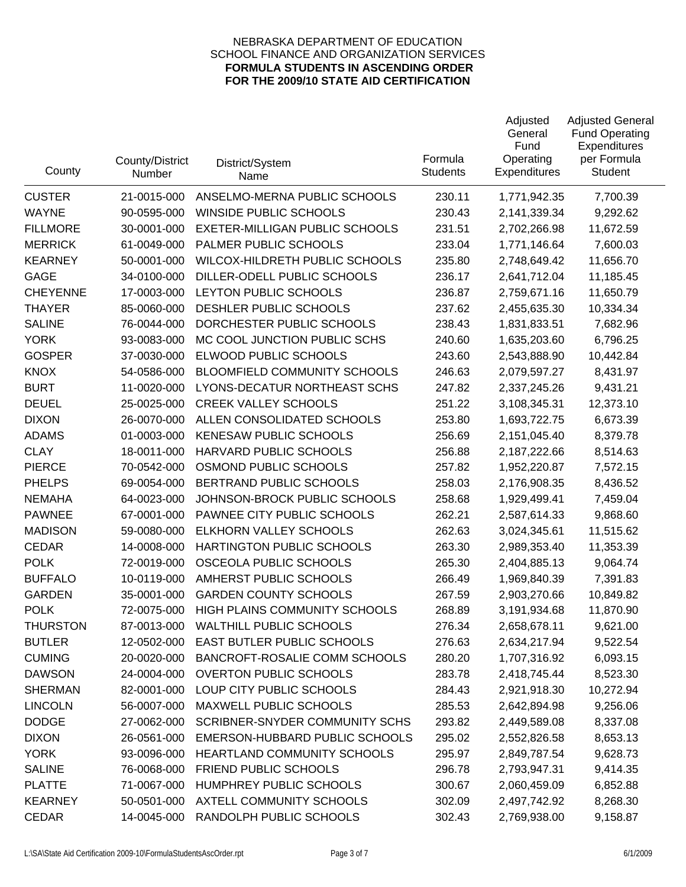| County          | County/District<br>Number | District/System<br>Name               | Formula<br><b>Students</b> | Adjusted<br>General<br>Fund<br>Operating<br><b>Expenditures</b> | <b>Adjusted General</b><br><b>Fund Operating</b><br>Expenditures<br>per Formula<br>Student |
|-----------------|---------------------------|---------------------------------------|----------------------------|-----------------------------------------------------------------|--------------------------------------------------------------------------------------------|
| <b>CUSTER</b>   | 21-0015-000               | ANSELMO-MERNA PUBLIC SCHOOLS          | 230.11                     | 1,771,942.35                                                    | 7,700.39                                                                                   |
| <b>WAYNE</b>    | 90-0595-000               | <b>WINSIDE PUBLIC SCHOOLS</b>         | 230.43                     | 2,141,339.34                                                    | 9,292.62                                                                                   |
| <b>FILLMORE</b> | 30-0001-000               | <b>EXETER-MILLIGAN PUBLIC SCHOOLS</b> | 231.51                     | 2,702,266.98                                                    | 11,672.59                                                                                  |
| <b>MERRICK</b>  | 61-0049-000               | PALMER PUBLIC SCHOOLS                 | 233.04                     | 1,771,146.64                                                    | 7,600.03                                                                                   |
| <b>KEARNEY</b>  | 50-0001-000               | WILCOX-HILDRETH PUBLIC SCHOOLS        | 235.80                     | 2,748,649.42                                                    | 11,656.70                                                                                  |
| <b>GAGE</b>     | 34-0100-000               | DILLER-ODELL PUBLIC SCHOOLS           | 236.17                     | 2,641,712.04                                                    | 11,185.45                                                                                  |
| <b>CHEYENNE</b> | 17-0003-000               | LEYTON PUBLIC SCHOOLS                 | 236.87                     | 2,759,671.16                                                    | 11,650.79                                                                                  |
| <b>THAYER</b>   | 85-0060-000               | DESHLER PUBLIC SCHOOLS                | 237.62                     | 2,455,635.30                                                    | 10,334.34                                                                                  |
| <b>SALINE</b>   | 76-0044-000               | DORCHESTER PUBLIC SCHOOLS             | 238.43                     | 1,831,833.51                                                    | 7,682.96                                                                                   |
| <b>YORK</b>     | 93-0083-000               | MC COOL JUNCTION PUBLIC SCHS          | 240.60                     | 1,635,203.60                                                    | 6,796.25                                                                                   |
| <b>GOSPER</b>   | 37-0030-000               | ELWOOD PUBLIC SCHOOLS                 | 243.60                     | 2,543,888.90                                                    | 10,442.84                                                                                  |
| <b>KNOX</b>     | 54-0586-000               | <b>BLOOMFIELD COMMUNITY SCHOOLS</b>   | 246.63                     | 2,079,597.27                                                    | 8,431.97                                                                                   |
| <b>BURT</b>     | 11-0020-000               | LYONS-DECATUR NORTHEAST SCHS          | 247.82                     | 2,337,245.26                                                    | 9,431.21                                                                                   |
| <b>DEUEL</b>    | 25-0025-000               | <b>CREEK VALLEY SCHOOLS</b>           | 251.22                     | 3,108,345.31                                                    | 12,373.10                                                                                  |
| <b>DIXON</b>    | 26-0070-000               | ALLEN CONSOLIDATED SCHOOLS            | 253.80                     | 1,693,722.75                                                    | 6,673.39                                                                                   |
| <b>ADAMS</b>    | 01-0003-000               | <b>KENESAW PUBLIC SCHOOLS</b>         | 256.69                     | 2,151,045.40                                                    | 8,379.78                                                                                   |
| <b>CLAY</b>     | 18-0011-000               | HARVARD PUBLIC SCHOOLS                | 256.88                     | 2,187,222.66                                                    | 8,514.63                                                                                   |
| <b>PIERCE</b>   | 70-0542-000               | OSMOND PUBLIC SCHOOLS                 | 257.82                     | 1,952,220.87                                                    | 7,572.15                                                                                   |
| <b>PHELPS</b>   | 69-0054-000               | BERTRAND PUBLIC SCHOOLS               | 258.03                     | 2,176,908.35                                                    | 8,436.52                                                                                   |
| <b>NEMAHA</b>   | 64-0023-000               | JOHNSON-BROCK PUBLIC SCHOOLS          | 258.68                     | 1,929,499.41                                                    | 7,459.04                                                                                   |
| <b>PAWNEE</b>   | 67-0001-000               | PAWNEE CITY PUBLIC SCHOOLS            | 262.21                     | 2,587,614.33                                                    | 9,868.60                                                                                   |
| <b>MADISON</b>  | 59-0080-000               | ELKHORN VALLEY SCHOOLS                | 262.63                     | 3,024,345.61                                                    | 11,515.62                                                                                  |
| <b>CEDAR</b>    | 14-0008-000               | HARTINGTON PUBLIC SCHOOLS             | 263.30                     | 2,989,353.40                                                    | 11,353.39                                                                                  |
| <b>POLK</b>     | 72-0019-000               | OSCEOLA PUBLIC SCHOOLS                | 265.30                     | 2,404,885.13                                                    | 9,064.74                                                                                   |
| <b>BUFFALO</b>  | 10-0119-000               | AMHERST PUBLIC SCHOOLS                | 266.49                     | 1,969,840.39                                                    | 7,391.83                                                                                   |
| <b>GARDEN</b>   | 35-0001-000               | <b>GARDEN COUNTY SCHOOLS</b>          | 267.59                     | 2,903,270.66                                                    | 10,849.82                                                                                  |
| <b>POLK</b>     | 72-0075-000               | HIGH PLAINS COMMUNITY SCHOOLS         | 268.89                     | 3,191,934.68                                                    | 11,870.90                                                                                  |
| <b>THURSTON</b> | 87-0013-000               | <b>WALTHILL PUBLIC SCHOOLS</b>        | 276.34                     | 2,658,678.11                                                    | 9,621.00                                                                                   |
| <b>BUTLER</b>   | 12-0502-000               | EAST BUTLER PUBLIC SCHOOLS            | 276.63                     | 2,634,217.94                                                    | 9,522.54                                                                                   |
| <b>CUMING</b>   | 20-0020-000               | BANCROFT-ROSALIE COMM SCHOOLS         | 280.20                     | 1,707,316.92                                                    | 6,093.15                                                                                   |
| <b>DAWSON</b>   | 24-0004-000               | <b>OVERTON PUBLIC SCHOOLS</b>         | 283.78                     | 2,418,745.44                                                    | 8,523.30                                                                                   |
| <b>SHERMAN</b>  | 82-0001-000               | LOUP CITY PUBLIC SCHOOLS              | 284.43                     | 2,921,918.30                                                    | 10,272.94                                                                                  |
| <b>LINCOLN</b>  | 56-0007-000               | MAXWELL PUBLIC SCHOOLS                | 285.53                     | 2,642,894.98                                                    | 9,256.06                                                                                   |
| <b>DODGE</b>    | 27-0062-000               | <b>SCRIBNER-SNYDER COMMUNITY SCHS</b> | 293.82                     | 2,449,589.08                                                    | 8,337.08                                                                                   |
| <b>DIXON</b>    | 26-0561-000               | EMERSON-HUBBARD PUBLIC SCHOOLS        | 295.02                     | 2,552,826.58                                                    | 8,653.13                                                                                   |
| <b>YORK</b>     | 93-0096-000               | HEARTLAND COMMUNITY SCHOOLS           | 295.97                     | 2,849,787.54                                                    | 9,628.73                                                                                   |
| <b>SALINE</b>   | 76-0068-000               | FRIEND PUBLIC SCHOOLS                 | 296.78                     | 2,793,947.31                                                    | 9,414.35                                                                                   |
| <b>PLATTE</b>   | 71-0067-000               | HUMPHREY PUBLIC SCHOOLS               | 300.67                     | 2,060,459.09                                                    | 6,852.88                                                                                   |
| <b>KEARNEY</b>  | 50-0501-000               | AXTELL COMMUNITY SCHOOLS              | 302.09                     | 2,497,742.92                                                    | 8,268.30                                                                                   |
| <b>CEDAR</b>    | 14-0045-000               | RANDOLPH PUBLIC SCHOOLS               | 302.43                     | 2,769,938.00                                                    | 9,158.87                                                                                   |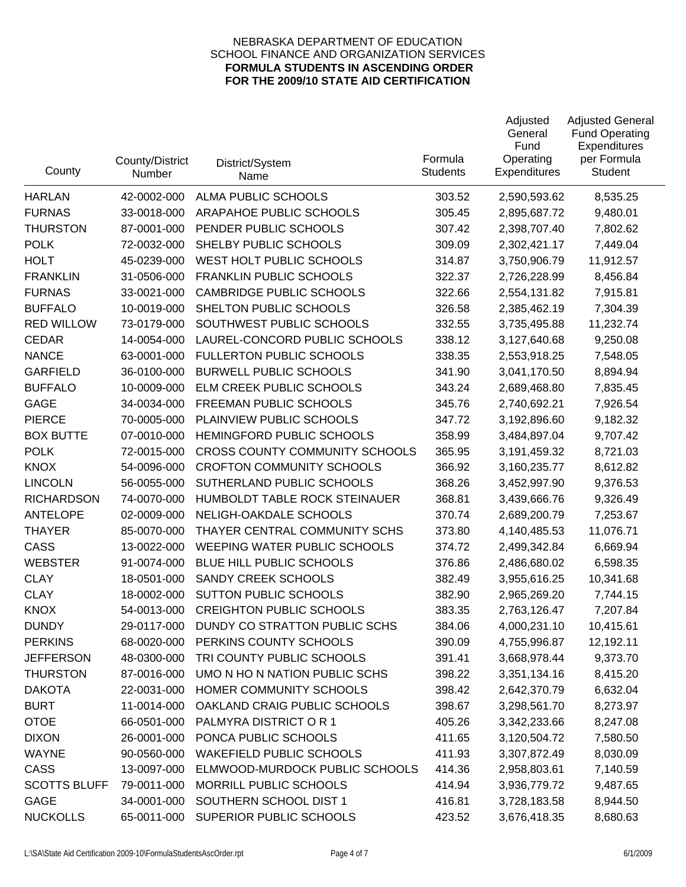| County              | County/District<br>Number | District/System<br>Name               | Formula<br><b>Students</b> | Adjusted<br>General<br>Fund<br>Operating<br>Expenditures | <b>Adjusted General</b><br><b>Fund Operating</b><br>Expenditures<br>per Formula<br>Student |
|---------------------|---------------------------|---------------------------------------|----------------------------|----------------------------------------------------------|--------------------------------------------------------------------------------------------|
| <b>HARLAN</b>       | 42-0002-000               | <b>ALMA PUBLIC SCHOOLS</b>            | 303.52                     | 2,590,593.62                                             | 8,535.25                                                                                   |
| <b>FURNAS</b>       | 33-0018-000               | ARAPAHOE PUBLIC SCHOOLS               | 305.45                     | 2,895,687.72                                             | 9,480.01                                                                                   |
| <b>THURSTON</b>     | 87-0001-000               | PENDER PUBLIC SCHOOLS                 | 307.42                     | 2,398,707.40                                             | 7,802.62                                                                                   |
| <b>POLK</b>         | 72-0032-000               | SHELBY PUBLIC SCHOOLS                 | 309.09                     | 2,302,421.17                                             | 7,449.04                                                                                   |
| <b>HOLT</b>         | 45-0239-000               | WEST HOLT PUBLIC SCHOOLS              | 314.87                     | 3,750,906.79                                             | 11,912.57                                                                                  |
| <b>FRANKLIN</b>     | 31-0506-000               | <b>FRANKLIN PUBLIC SCHOOLS</b>        | 322.37                     | 2,726,228.99                                             | 8,456.84                                                                                   |
| <b>FURNAS</b>       | 33-0021-000               | <b>CAMBRIDGE PUBLIC SCHOOLS</b>       | 322.66                     | 2,554,131.82                                             | 7,915.81                                                                                   |
| <b>BUFFALO</b>      | 10-0019-000               | SHELTON PUBLIC SCHOOLS                | 326.58                     | 2,385,462.19                                             | 7,304.39                                                                                   |
| <b>RED WILLOW</b>   | 73-0179-000               | SOUTHWEST PUBLIC SCHOOLS              | 332.55                     | 3,735,495.88                                             | 11,232.74                                                                                  |
| <b>CEDAR</b>        | 14-0054-000               | LAUREL-CONCORD PUBLIC SCHOOLS         | 338.12                     | 3,127,640.68                                             | 9,250.08                                                                                   |
| <b>NANCE</b>        | 63-0001-000               | <b>FULLERTON PUBLIC SCHOOLS</b>       | 338.35                     | 2,553,918.25                                             | 7,548.05                                                                                   |
| <b>GARFIELD</b>     | 36-0100-000               | <b>BURWELL PUBLIC SCHOOLS</b>         | 341.90                     | 3,041,170.50                                             | 8,894.94                                                                                   |
| <b>BUFFALO</b>      | 10-0009-000               | ELM CREEK PUBLIC SCHOOLS              | 343.24                     | 2,689,468.80                                             | 7,835.45                                                                                   |
| <b>GAGE</b>         | 34-0034-000               | FREEMAN PUBLIC SCHOOLS                | 345.76                     | 2,740,692.21                                             | 7,926.54                                                                                   |
| <b>PIERCE</b>       | 70-0005-000               | PLAINVIEW PUBLIC SCHOOLS              | 347.72                     | 3,192,896.60                                             | 9,182.32                                                                                   |
| <b>BOX BUTTE</b>    | 07-0010-000               | HEMINGFORD PUBLIC SCHOOLS             | 358.99                     | 3,484,897.04                                             | 9,707.42                                                                                   |
| <b>POLK</b>         | 72-0015-000               | <b>CROSS COUNTY COMMUNITY SCHOOLS</b> | 365.95                     | 3,191,459.32                                             | 8,721.03                                                                                   |
| <b>KNOX</b>         | 54-0096-000               | <b>CROFTON COMMUNITY SCHOOLS</b>      | 366.92                     | 3,160,235.77                                             | 8,612.82                                                                                   |
| <b>LINCOLN</b>      | 56-0055-000               | SUTHERLAND PUBLIC SCHOOLS             | 368.26                     | 3,452,997.90                                             | 9,376.53                                                                                   |
| <b>RICHARDSON</b>   | 74-0070-000               | HUMBOLDT TABLE ROCK STEINAUER         | 368.81                     | 3,439,666.76                                             | 9,326.49                                                                                   |
| <b>ANTELOPE</b>     | 02-0009-000               | NELIGH-OAKDALE SCHOOLS                | 370.74                     | 2,689,200.79                                             | 7,253.67                                                                                   |
| <b>THAYER</b>       | 85-0070-000               | THAYER CENTRAL COMMUNITY SCHS         | 373.80                     | 4,140,485.53                                             | 11,076.71                                                                                  |
| <b>CASS</b>         | 13-0022-000               | WEEPING WATER PUBLIC SCHOOLS          | 374.72                     | 2,499,342.84                                             | 6,669.94                                                                                   |
| <b>WEBSTER</b>      | 91-0074-000               | BLUE HILL PUBLIC SCHOOLS              | 376.86                     | 2,486,680.02                                             | 6,598.35                                                                                   |
| <b>CLAY</b>         | 18-0501-000               | SANDY CREEK SCHOOLS                   | 382.49                     | 3,955,616.25                                             | 10,341.68                                                                                  |
| <b>CLAY</b>         | 18-0002-000               | <b>SUTTON PUBLIC SCHOOLS</b>          | 382.90                     | 2,965,269.20                                             | 7,744.15                                                                                   |
| <b>KNOX</b>         | 54-0013-000               | <b>CREIGHTON PUBLIC SCHOOLS</b>       | 383.35                     | 2,763,126.47                                             | 7,207.84                                                                                   |
| <b>DUNDY</b>        | 29-0117-000               | DUNDY CO STRATTON PUBLIC SCHS         | 384.06                     | 4,000,231.10                                             | 10,415.61                                                                                  |
| <b>PERKINS</b>      | 68-0020-000               | PERKINS COUNTY SCHOOLS                | 390.09                     | 4,755,996.87                                             | 12,192.11                                                                                  |
| <b>JEFFERSON</b>    | 48-0300-000               | TRI COUNTY PUBLIC SCHOOLS             | 391.41                     | 3,668,978.44                                             | 9,373.70                                                                                   |
| <b>THURSTON</b>     | 87-0016-000               | UMO N HO N NATION PUBLIC SCHS         | 398.22                     | 3,351,134.16                                             | 8,415.20                                                                                   |
| <b>DAKOTA</b>       | 22-0031-000               | HOMER COMMUNITY SCHOOLS               | 398.42                     | 2,642,370.79                                             | 6,632.04                                                                                   |
| <b>BURT</b>         | 11-0014-000               | OAKLAND CRAIG PUBLIC SCHOOLS          | 398.67                     | 3,298,561.70                                             | 8,273.97                                                                                   |
| <b>OTOE</b>         | 66-0501-000               | PALMYRA DISTRICT OR 1                 | 405.26                     | 3,342,233.66                                             | 8,247.08                                                                                   |
| <b>DIXON</b>        | 26-0001-000               | PONCA PUBLIC SCHOOLS                  | 411.65                     | 3,120,504.72                                             | 7,580.50                                                                                   |
| <b>WAYNE</b>        | 90-0560-000               | <b>WAKEFIELD PUBLIC SCHOOLS</b>       | 411.93                     | 3,307,872.49                                             | 8,030.09                                                                                   |
| CASS                | 13-0097-000               | ELMWOOD-MURDOCK PUBLIC SCHOOLS        | 414.36                     | 2,958,803.61                                             | 7,140.59                                                                                   |
| <b>SCOTTS BLUFF</b> | 79-0011-000               | MORRILL PUBLIC SCHOOLS                | 414.94                     | 3,936,779.72                                             | 9,487.65                                                                                   |
| <b>GAGE</b>         | 34-0001-000               | SOUTHERN SCHOOL DIST 1                | 416.81                     | 3,728,183.58                                             | 8,944.50                                                                                   |
| <b>NUCKOLLS</b>     | 65-0011-000               | SUPERIOR PUBLIC SCHOOLS               | 423.52                     | 3,676,418.35                                             | 8,680.63                                                                                   |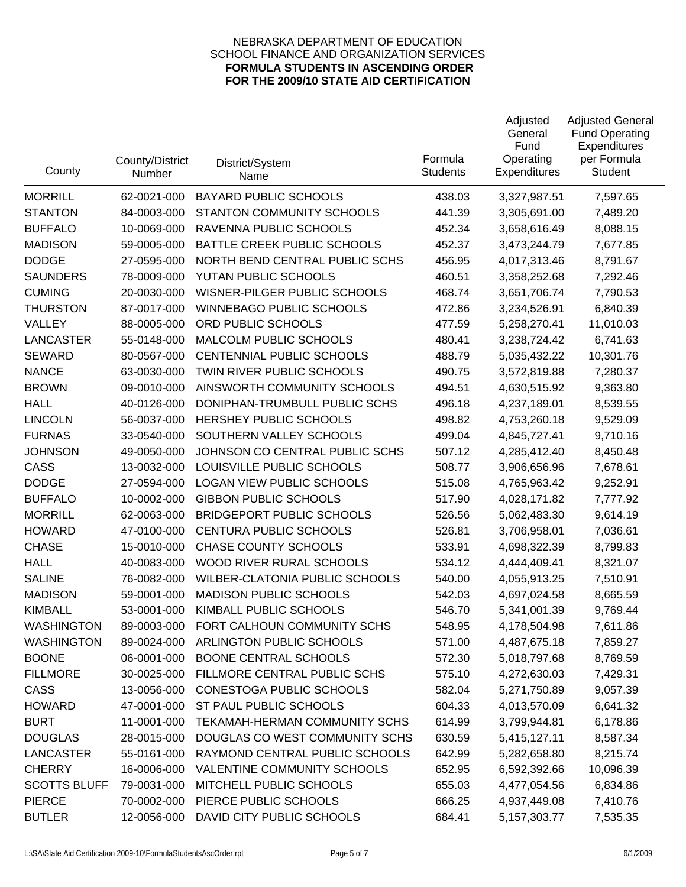| County              | County/District<br>Number | District/System<br>Name          | Formula<br><b>Students</b> | Adjusted<br>General<br>Fund<br>Operating<br><b>Expenditures</b> | <b>Adjusted General</b><br><b>Fund Operating</b><br>Expenditures<br>per Formula<br><b>Student</b> |
|---------------------|---------------------------|----------------------------------|----------------------------|-----------------------------------------------------------------|---------------------------------------------------------------------------------------------------|
| <b>MORRILL</b>      | 62-0021-000               | <b>BAYARD PUBLIC SCHOOLS</b>     | 438.03                     | 3,327,987.51                                                    | 7,597.65                                                                                          |
| <b>STANTON</b>      | 84-0003-000               | STANTON COMMUNITY SCHOOLS        | 441.39                     | 3,305,691.00                                                    | 7,489.20                                                                                          |
| <b>BUFFALO</b>      | 10-0069-000               | RAVENNA PUBLIC SCHOOLS           | 452.34                     | 3,658,616.49                                                    | 8,088.15                                                                                          |
| <b>MADISON</b>      | 59-0005-000               | BATTLE CREEK PUBLIC SCHOOLS      | 452.37                     | 3,473,244.79                                                    | 7,677.85                                                                                          |
| <b>DODGE</b>        | 27-0595-000               | NORTH BEND CENTRAL PUBLIC SCHS   | 456.95                     | 4,017,313.46                                                    | 8,791.67                                                                                          |
| <b>SAUNDERS</b>     | 78-0009-000               | YUTAN PUBLIC SCHOOLS             | 460.51                     | 3,358,252.68                                                    | 7,292.46                                                                                          |
| <b>CUMING</b>       | 20-0030-000               | WISNER-PILGER PUBLIC SCHOOLS     | 468.74                     | 3,651,706.74                                                    | 7,790.53                                                                                          |
| <b>THURSTON</b>     | 87-0017-000               | <b>WINNEBAGO PUBLIC SCHOOLS</b>  | 472.86                     | 3,234,526.91                                                    | 6,840.39                                                                                          |
| VALLEY              | 88-0005-000               | ORD PUBLIC SCHOOLS               | 477.59                     | 5,258,270.41                                                    | 11,010.03                                                                                         |
| <b>LANCASTER</b>    | 55-0148-000               | MALCOLM PUBLIC SCHOOLS           | 480.41                     | 3,238,724.42                                                    | 6,741.63                                                                                          |
| <b>SEWARD</b>       | 80-0567-000               | CENTENNIAL PUBLIC SCHOOLS        | 488.79                     | 5,035,432.22                                                    | 10,301.76                                                                                         |
| <b>NANCE</b>        | 63-0030-000               | TWIN RIVER PUBLIC SCHOOLS        | 490.75                     | 3,572,819.88                                                    | 7,280.37                                                                                          |
| <b>BROWN</b>        | 09-0010-000               | AINSWORTH COMMUNITY SCHOOLS      | 494.51                     | 4,630,515.92                                                    | 9,363.80                                                                                          |
| <b>HALL</b>         | 40-0126-000               | DONIPHAN-TRUMBULL PUBLIC SCHS    | 496.18                     | 4,237,189.01                                                    | 8,539.55                                                                                          |
| <b>LINCOLN</b>      | 56-0037-000               | HERSHEY PUBLIC SCHOOLS           | 498.82                     | 4,753,260.18                                                    | 9,529.09                                                                                          |
| <b>FURNAS</b>       | 33-0540-000               | SOUTHERN VALLEY SCHOOLS          | 499.04                     | 4,845,727.41                                                    | 9,710.16                                                                                          |
| <b>JOHNSON</b>      | 49-0050-000               | JOHNSON CO CENTRAL PUBLIC SCHS   | 507.12                     | 4,285,412.40                                                    | 8,450.48                                                                                          |
| <b>CASS</b>         | 13-0032-000               | LOUISVILLE PUBLIC SCHOOLS        | 508.77                     | 3,906,656.96                                                    | 7,678.61                                                                                          |
| <b>DODGE</b>        | 27-0594-000               | <b>LOGAN VIEW PUBLIC SCHOOLS</b> | 515.08                     | 4,765,963.42                                                    | 9,252.91                                                                                          |
| <b>BUFFALO</b>      | 10-0002-000               | <b>GIBBON PUBLIC SCHOOLS</b>     | 517.90                     | 4,028,171.82                                                    | 7,777.92                                                                                          |
| <b>MORRILL</b>      | 62-0063-000               | <b>BRIDGEPORT PUBLIC SCHOOLS</b> | 526.56                     | 5,062,483.30                                                    | 9,614.19                                                                                          |
| <b>HOWARD</b>       | 47-0100-000               | <b>CENTURA PUBLIC SCHOOLS</b>    | 526.81                     | 3,706,958.01                                                    | 7,036.61                                                                                          |
| <b>CHASE</b>        | 15-0010-000               | <b>CHASE COUNTY SCHOOLS</b>      | 533.91                     | 4,698,322.39                                                    | 8,799.83                                                                                          |
| <b>HALL</b>         | 40-0083-000               | WOOD RIVER RURAL SCHOOLS         | 534.12                     | 4,444,409.41                                                    | 8,321.07                                                                                          |
| <b>SALINE</b>       | 76-0082-000               | WILBER-CLATONIA PUBLIC SCHOOLS   | 540.00                     | 4,055,913.25                                                    | 7,510.91                                                                                          |
| <b>MADISON</b>      | 59-0001-000               | <b>MADISON PUBLIC SCHOOLS</b>    | 542.03                     | 4,697,024.58                                                    | 8,665.59                                                                                          |
| <b>KIMBALL</b>      | 53-0001-000               | KIMBALL PUBLIC SCHOOLS           | 546.70                     | 5,341,001.39                                                    | 9,769.44                                                                                          |
| <b>WASHINGTON</b>   | 89-0003-000               | FORT CALHOUN COMMUNITY SCHS      | 548.95                     | 4,178,504.98                                                    | 7,611.86                                                                                          |
| <b>WASHINGTON</b>   | 89-0024-000               | ARLINGTON PUBLIC SCHOOLS         | 571.00                     | 4,487,675.18                                                    | 7,859.27                                                                                          |
| <b>BOONE</b>        | 06-0001-000               | BOONE CENTRAL SCHOOLS            | 572.30                     | 5,018,797.68                                                    | 8,769.59                                                                                          |
| <b>FILLMORE</b>     | 30-0025-000               | FILLMORE CENTRAL PUBLIC SCHS     | 575.10                     | 4,272,630.03                                                    | 7,429.31                                                                                          |
| <b>CASS</b>         | 13-0056-000               | CONESTOGA PUBLIC SCHOOLS         | 582.04                     | 5,271,750.89                                                    | 9,057.39                                                                                          |
| <b>HOWARD</b>       | 47-0001-000               | ST PAUL PUBLIC SCHOOLS           | 604.33                     | 4,013,570.09                                                    | 6,641.32                                                                                          |
| <b>BURT</b>         | 11-0001-000               | TEKAMAH-HERMAN COMMUNITY SCHS    | 614.99                     | 3,799,944.81                                                    | 6,178.86                                                                                          |
| <b>DOUGLAS</b>      | 28-0015-000               | DOUGLAS CO WEST COMMUNITY SCHS   | 630.59                     | 5,415,127.11                                                    | 8,587.34                                                                                          |
| <b>LANCASTER</b>    | 55-0161-000               | RAYMOND CENTRAL PUBLIC SCHOOLS   | 642.99                     | 5,282,658.80                                                    | 8,215.74                                                                                          |
| <b>CHERRY</b>       | 16-0006-000               | VALENTINE COMMUNITY SCHOOLS      | 652.95                     | 6,592,392.66                                                    | 10,096.39                                                                                         |
| <b>SCOTTS BLUFF</b> | 79-0031-000               | MITCHELL PUBLIC SCHOOLS          | 655.03                     | 4,477,054.56                                                    | 6,834.86                                                                                          |
| <b>PIERCE</b>       | 70-0002-000               | PIERCE PUBLIC SCHOOLS            | 666.25                     | 4,937,449.08                                                    | 7,410.76                                                                                          |
| <b>BUTLER</b>       | 12-0056-000               | DAVID CITY PUBLIC SCHOOLS        | 684.41                     | 5, 157, 303. 77                                                 | 7,535.35                                                                                          |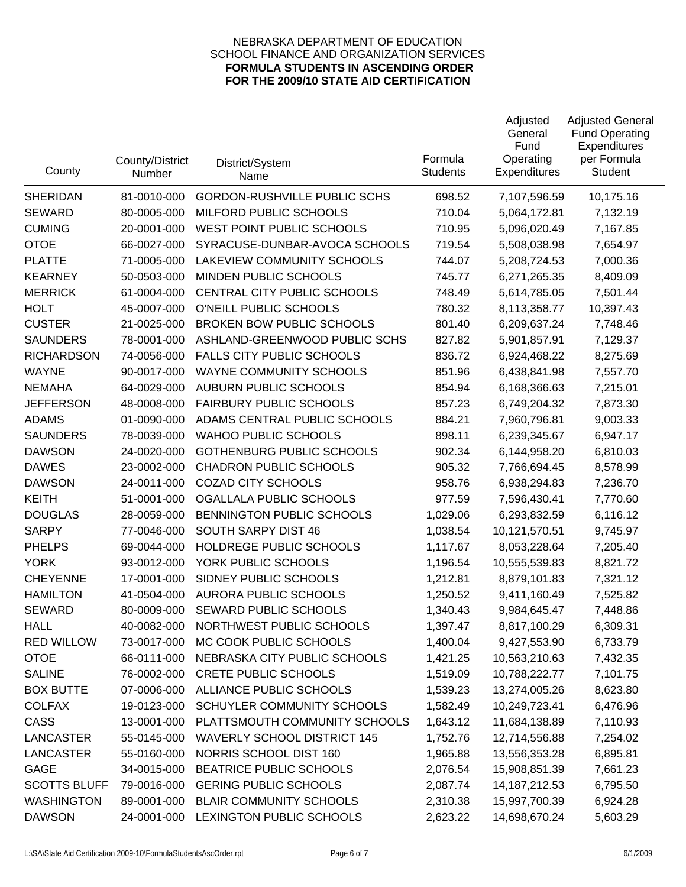| County              | County/District<br>Number | District/System<br>Name             | Formula<br><b>Students</b> | Adjusted<br>General<br>Fund<br>Operating<br>Expenditures | <b>Adjusted General</b><br><b>Fund Operating</b><br>Expenditures<br>per Formula<br>Student |
|---------------------|---------------------------|-------------------------------------|----------------------------|----------------------------------------------------------|--------------------------------------------------------------------------------------------|
| <b>SHERIDAN</b>     | 81-0010-000               | <b>GORDON-RUSHVILLE PUBLIC SCHS</b> | 698.52                     | 7,107,596.59                                             | 10,175.16                                                                                  |
| <b>SEWARD</b>       | 80-0005-000               | MILFORD PUBLIC SCHOOLS              | 710.04                     | 5,064,172.81                                             | 7,132.19                                                                                   |
| <b>CUMING</b>       | 20-0001-000               | WEST POINT PUBLIC SCHOOLS           | 710.95                     | 5,096,020.49                                             | 7,167.85                                                                                   |
| <b>OTOE</b>         | 66-0027-000               | SYRACUSE-DUNBAR-AVOCA SCHOOLS       | 719.54                     | 5,508,038.98                                             | 7,654.97                                                                                   |
| <b>PLATTE</b>       | 71-0005-000               | <b>LAKEVIEW COMMUNITY SCHOOLS</b>   | 744.07                     | 5,208,724.53                                             | 7,000.36                                                                                   |
| <b>KEARNEY</b>      | 50-0503-000               | MINDEN PUBLIC SCHOOLS               | 745.77                     | 6,271,265.35                                             | 8,409.09                                                                                   |
| <b>MERRICK</b>      | 61-0004-000               | CENTRAL CITY PUBLIC SCHOOLS         | 748.49                     | 5,614,785.05                                             | 7,501.44                                                                                   |
| <b>HOLT</b>         | 45-0007-000               | O'NEILL PUBLIC SCHOOLS              | 780.32                     | 8,113,358.77                                             | 10,397.43                                                                                  |
| <b>CUSTER</b>       | 21-0025-000               | <b>BROKEN BOW PUBLIC SCHOOLS</b>    | 801.40                     | 6,209,637.24                                             | 7,748.46                                                                                   |
| <b>SAUNDERS</b>     | 78-0001-000               | ASHLAND-GREENWOOD PUBLIC SCHS       | 827.82                     | 5,901,857.91                                             | 7,129.37                                                                                   |
| <b>RICHARDSON</b>   | 74-0056-000               | <b>FALLS CITY PUBLIC SCHOOLS</b>    | 836.72                     | 6,924,468.22                                             | 8,275.69                                                                                   |
| <b>WAYNE</b>        | 90-0017-000               | WAYNE COMMUNITY SCHOOLS             | 851.96                     | 6,438,841.98                                             | 7,557.70                                                                                   |
| <b>NEMAHA</b>       | 64-0029-000               | <b>AUBURN PUBLIC SCHOOLS</b>        | 854.94                     | 6,168,366.63                                             | 7,215.01                                                                                   |
| <b>JEFFERSON</b>    | 48-0008-000               | <b>FAIRBURY PUBLIC SCHOOLS</b>      | 857.23                     | 6,749,204.32                                             | 7,873.30                                                                                   |
| <b>ADAMS</b>        | 01-0090-000               | ADAMS CENTRAL PUBLIC SCHOOLS        | 884.21                     | 7,960,796.81                                             | 9,003.33                                                                                   |
| <b>SAUNDERS</b>     | 78-0039-000               | <b>WAHOO PUBLIC SCHOOLS</b>         | 898.11                     | 6,239,345.67                                             | 6,947.17                                                                                   |
| <b>DAWSON</b>       | 24-0020-000               | <b>GOTHENBURG PUBLIC SCHOOLS</b>    | 902.34                     | 6,144,958.20                                             | 6,810.03                                                                                   |
| <b>DAWES</b>        | 23-0002-000               | <b>CHADRON PUBLIC SCHOOLS</b>       | 905.32                     | 7,766,694.45                                             | 8,578.99                                                                                   |
| <b>DAWSON</b>       | 24-0011-000               | <b>COZAD CITY SCHOOLS</b>           | 958.76                     | 6,938,294.83                                             | 7,236.70                                                                                   |
| <b>KEITH</b>        | 51-0001-000               | OGALLALA PUBLIC SCHOOLS             | 977.59                     | 7,596,430.41                                             | 7,770.60                                                                                   |
| <b>DOUGLAS</b>      | 28-0059-000               | BENNINGTON PUBLIC SCHOOLS           | 1,029.06                   | 6,293,832.59                                             | 6,116.12                                                                                   |
| <b>SARPY</b>        | 77-0046-000               | SOUTH SARPY DIST 46                 | 1,038.54                   | 10,121,570.51                                            | 9,745.97                                                                                   |
| <b>PHELPS</b>       | 69-0044-000               | HOLDREGE PUBLIC SCHOOLS             | 1,117.67                   | 8,053,228.64                                             | 7,205.40                                                                                   |
| <b>YORK</b>         | 93-0012-000               | YORK PUBLIC SCHOOLS                 | 1,196.54                   | 10,555,539.83                                            | 8,821.72                                                                                   |
| <b>CHEYENNE</b>     | 17-0001-000               | SIDNEY PUBLIC SCHOOLS               | 1,212.81                   | 8,879,101.83                                             | 7,321.12                                                                                   |
| <b>HAMILTON</b>     | 41-0504-000               | <b>AURORA PUBLIC SCHOOLS</b>        | 1,250.52                   | 9,411,160.49                                             | 7,525.82                                                                                   |
| <b>SEWARD</b>       | 80-0009-000               | SEWARD PUBLIC SCHOOLS               | 1,340.43                   | 9,984,645.47                                             | 7,448.86                                                                                   |
| <b>HALL</b>         | 40-0082-000               | NORTHWEST PUBLIC SCHOOLS            | 1,397.47                   | 8,817,100.29                                             | 6,309.31                                                                                   |
| <b>RED WILLOW</b>   | 73-0017-000               | MC COOK PUBLIC SCHOOLS              | 1,400.04                   | 9,427,553.90                                             | 6,733.79                                                                                   |
| <b>OTOE</b>         | 66-0111-000               | NEBRASKA CITY PUBLIC SCHOOLS        | 1,421.25                   | 10,563,210.63                                            | 7,432.35                                                                                   |
| <b>SALINE</b>       | 76-0002-000               | <b>CRETE PUBLIC SCHOOLS</b>         | 1,519.09                   | 10,788,222.77                                            | 7,101.75                                                                                   |
| <b>BOX BUTTE</b>    | 07-0006-000               | ALLIANCE PUBLIC SCHOOLS             | 1,539.23                   | 13,274,005.26                                            | 8,623.80                                                                                   |
| <b>COLFAX</b>       | 19-0123-000               | SCHUYLER COMMUNITY SCHOOLS          | 1,582.49                   | 10,249,723.41                                            | 6,476.96                                                                                   |
| <b>CASS</b>         | 13-0001-000               | PLATTSMOUTH COMMUNITY SCHOOLS       | 1,643.12                   | 11,684,138.89                                            | 7,110.93                                                                                   |
| LANCASTER           | 55-0145-000               | <b>WAVERLY SCHOOL DISTRICT 145</b>  | 1,752.76                   | 12,714,556.88                                            | 7,254.02                                                                                   |
| <b>LANCASTER</b>    | 55-0160-000               | NORRIS SCHOOL DIST 160              | 1,965.88                   | 13,556,353.28                                            | 6,895.81                                                                                   |
| <b>GAGE</b>         | 34-0015-000               | BEATRICE PUBLIC SCHOOLS             | 2,076.54                   | 15,908,851.39                                            | 7,661.23                                                                                   |
| <b>SCOTTS BLUFF</b> | 79-0016-000               | <b>GERING PUBLIC SCHOOLS</b>        | 2,087.74                   | 14, 187, 212.53                                          | 6,795.50                                                                                   |
| <b>WASHINGTON</b>   | 89-0001-000               | <b>BLAIR COMMUNITY SCHOOLS</b>      | 2,310.38                   | 15,997,700.39                                            | 6,924.28                                                                                   |
| <b>DAWSON</b>       | 24-0001-000               | LEXINGTON PUBLIC SCHOOLS            | 2,623.22                   | 14,698,670.24                                            | 5,603.29                                                                                   |